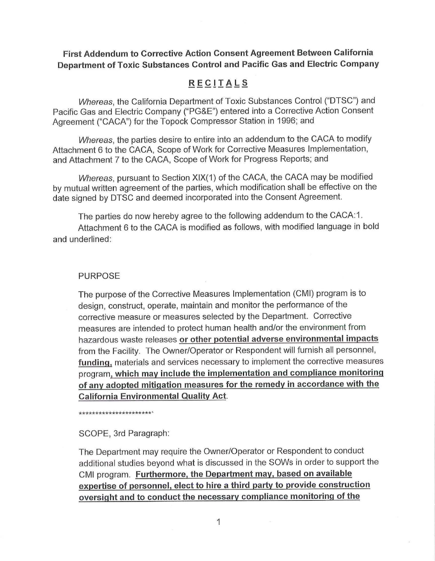### **First Addendum to Corrective Action Consent Agreement Between California Department of Toxic Substances Control and Pacific Gas and Electric Company**

# **RECITALS**

Whereas, the California Department of Toxic Substances Control ("DTSC") and Pacific Gas and Electric Company ("PG&E") entered into a Corrective Action Consent Agreement ("CACA") for the Topock Compressor Station in 1996; and

Whereas, the parties desire to entire into an addendum to the CACA to modify Attachment 6 to the CACA, Scope of Work for Corrective Measures Implementation, and Attachment 7 to the CACA, Scope of Work for Progress Reports; and

Whereas, pursuant to Section XIX(1) of the CACA, the CACA may be modified by mutual written agreement of the parties, which modification shall be effective on the date signed by DTSC and deemed incorporated into the Consent Agreement.

The parties do now hereby agree to the following addendum to the CACA:1 . Attachment 6 to the CACA is modified as follows, with modified language in bold and underlined:

### PURPOSE

The purpose of the Corrective Measures Implementation (CMI) program is to design, construct, operate, maintain and monitor the performance of the corrective measure or measures selected by the Department. Corrective measures are intended to protect human health and/or the environment from hazardous waste releases **or other potential adverse environmental impacts**  from the Facility. The Owner/Operator or Respondent will furnish all personnel, **funding,** materials and services necessary to implement the corrective measures program, **which may include the implementation and compliance monitoring of any adopted mitigation measures for the remedy in accordance with the California Environmental Quality Act.** 

\*\*\*\*\*\*\*\*\*\*\*\*\*\*\*\*\*\*\*\*\*\*'

SCOPE, 3rd Paragraph:

The Department may require the Owner/Operator or Respondent to conduct additional studies beyond what is discussed in the SOWs in order to support the CMI program. **Furthermore, the Department may, based on available expertise of personnel, elect to hire a third party to provide construction oversight and to conduct the necessary compliance monitoring of the**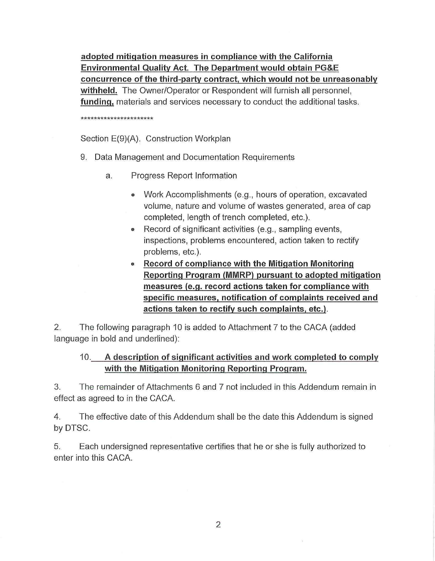**adopted mitigation measures in compliance with the California Environmental Quality Act. The Department would obtain PG&E concurrence of the third-party contract, which would not be unreasonably withheld.** The Owner/Operator or Respondent will furnish all personnel, **funding,** materials and services necessary to conduct the additional tasks.

#### \*\*\*\*\*\*\*\*\*\*\*\*\*\*\*\*\*\*\*\*\*\*

Section E(9)(A). Construction Workplan

- 9. Data Management and Documentation Requirements
	- a. Progress Report Information
		- Work Accomplishments (e.g., hours of operation, excavated volume, nature and volume of wastes generated, area of cap completed, length of trench completed, etc.).
		- Record of significant activities (e.g., sampling events, inspections, problems encountered, action taken to rectify problems, etc.).
		- **Record of compliance with the Mitigation Monitoring Reporting Program (MMRP) pursuant to adopted mitigation measures (e.g. record actions taken for compliance with specific measures, notification of complaints received and actions taken to rectify such complaints, etc.).**

2. The following paragraph 10 is added to Attachment 7 to the CACA (added language in bold and underlined):

# 10. **A description of significant activities and work completed to comply with the Mitigation Monitoring Reporting Program.**

3. The remainder of Attachments 6 and 7 not included in this Addendum remain in effect as agreed to in the CACA.

4. The effective date of this Addendum shall be the date this Addendum is signed by DTSC.

5. Each undersigned representative certifies that he or she is fully authorized to enter into this CACA.